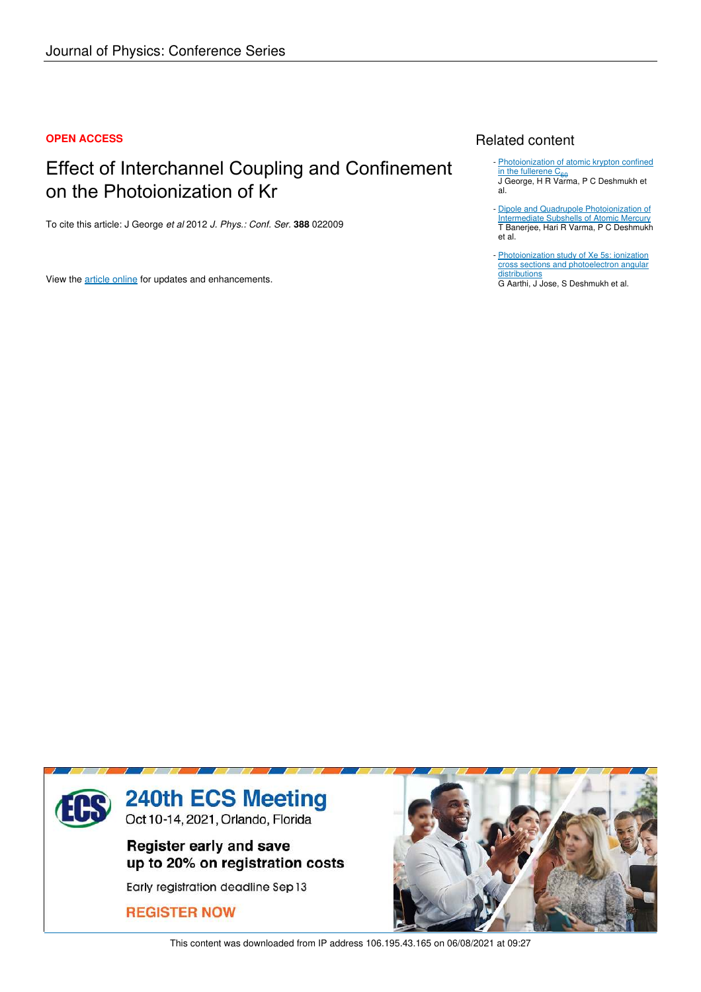### **OPEN ACCESS**

# Effect of Interchannel Coupling and Confinement on the Photoionization of Kr

To cite this article: J George *et al* 2012 *J. Phys.: Conf. Ser.* **388** 022009

View the article online for updates and enhancements.

# Related content

- Photoionization of atomic krypton confined i<u>n the fullerene C<sub>60</sub></u><br>J George, H R Varma, P C Deshmukh et al.
- Dipole and Quadrupole Photoionization of Intermediate Subshells of Atomic Mercury T Banerjee, Hari R Varma, P C Deshmukh et al. -
- Photoionization study of Xe 5s: ionization cross sections and photoelectron angular distributions

G Aarthi, J Jose, S Deshmukh et al.



This content was downloaded from IP address 106.195.43.165 on 06/08/2021 at 09:27